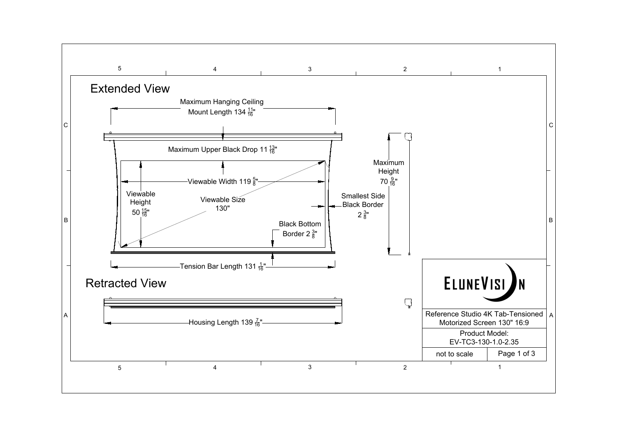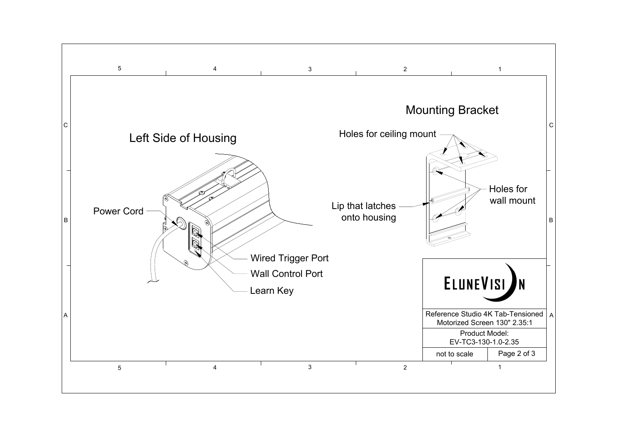

## Left Side of Housing

 $\mathbb{R}$ 



Learn Key Wall Control Port Wired Trigger Port

## $\frac{4}{3}$  and  $\frac{2}{1}$ Mounting Bracket Holes for ceiling mount Lip that latches onto housing ELUNEVISI Reference Studio 4K Tab-Tensioned | A | Motorized Screen 130" 2.35:1 Product Model: EV-TC3-130-1.0-2.35 not to scale Page 2 of 3  $\frac{4}{3}$  and  $\frac{2}{1}$